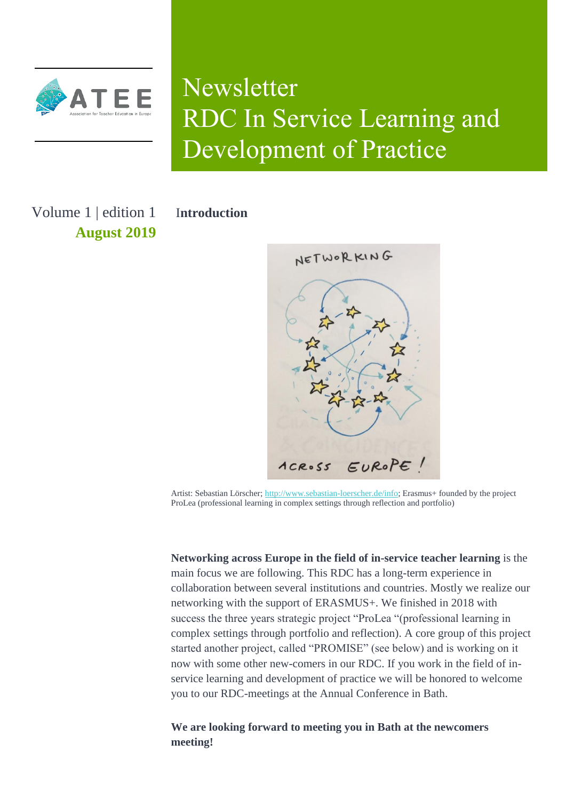

# Newsletter RDC In Service Learning and Development of Practice

Volume 1 | edition 1 **August 2019** I**ntroduction**



Artist: Sebastian Lörscher[; http://www.sebastian-loerscher.de/info;](http://www.sebastian-loerscher.de/info) Erasmus+ founded by the project ProLea (professional learning in complex settings through reflection and portfolio)

**Networking across Europe in the field of in-service teacher learning** is the main focus we are following. This RDC has a long-term experience in collaboration between several institutions and countries. Mostly we realize our networking with the support of ERASMUS+. We finished in 2018 with success the three years strategic project "ProLea "(professional learning in complex settings through portfolio and reflection). A core group of this project started another project, called "PROMISE" (see below) and is working on it now with some other new-comers in our RDC. If you work in the field of inservice learning and development of practice we will be honored to welcome you to our RDC-meetings at the Annual Conference in Bath.

**We are looking forward to meeting you in Bath at the newcomers meeting!**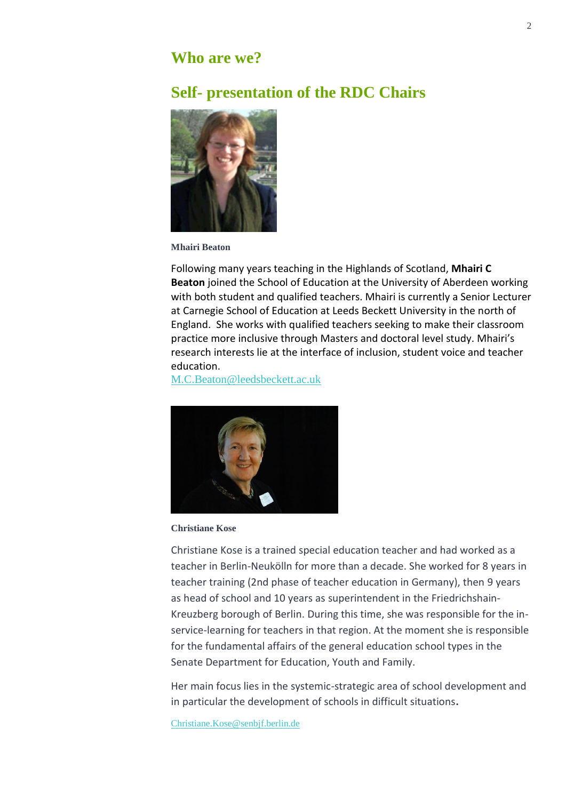## **Who are we?**

# **Self- presentation of the RDC Chairs**



**Mhairi Beaton**

Following many years teaching in the Highlands of Scotland, **Mhairi C Beaton** joined the School of Education at the University of Aberdeen working with both student and qualified teachers. Mhairi is currently a Senior Lecturer at Carnegie School of Education at Leeds Beckett University in the north of England. She works with qualified teachers seeking to make their classroom practice more inclusive through Masters and doctoral level study. Mhairi's research interests lie at the interface of inclusion, student voice and teacher education.

[M.C.Beaton@leedsbeckett.ac.uk](mailto:M.C.Beaton@leedsbeckett.ac.uk)



**Christiane Kose**

Christiane Kose is a trained special education teacher and had worked as a teacher in Berlin-Neukölln for more than a decade. She worked for 8 years in teacher training (2nd phase of teacher education in Germany), then 9 years as head of school and 10 years as superintendent in the Friedrichshain-Kreuzberg borough of Berlin. During this time, she was responsible for the inservice-learning for teachers in that region. At the moment she is responsible for the fundamental affairs of the general education school types in the Senate Department for Education, Youth and Family.

Her main focus lies in the systemic-strategic area of school development and in particular the development of schools in difficult situations**.**

[Christiane.Kose@senbjf.berlin.de](mailto:Christiane.Kose@senbjf.berlin.de)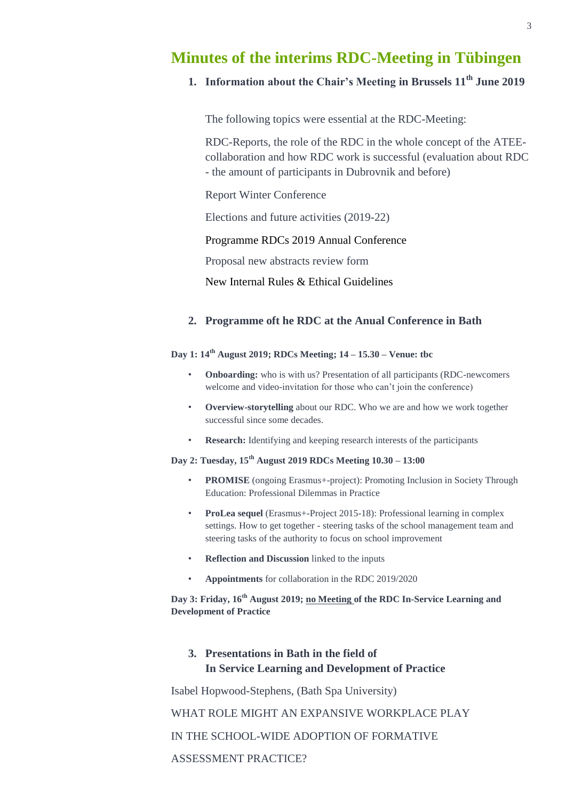## **Minutes of the interims RDC-Meeting in Tübingen**

## **1. Information about the Chair's Meeting in Brussels 11th June 2019**

The following topics were essential at the RDC-Meeting:

RDC-Reports, the role of the RDC in the whole concept of the ATEEcollaboration and how RDC work is successful (evaluation about RDC - the amount of participants in Dubrovnik and before)

Report Winter Conference

Elections and future activities (2019-22)

Programme RDCs 2019 Annual Conference

Proposal new abstracts review form

New Internal Rules & Ethical Guidelines

#### **2. Programme oft he RDC at the Anual Conference in Bath**

#### **Day 1: 14th August 2019; RDCs Meeting; 14 – 15.30 – Venue: tbc**

- **Onboarding:** who is with us? Presentation of all participants (RDC-newcomers welcome and video-invitation for those who can't join the conference)
- **Overview-storytelling** about our RDC. Who we are and how we work together successful since some decades.
- **Research:** Identifying and keeping research interests of the participants

#### **Day 2: Tuesday, 15th August 2019 RDCs Meeting 10.30 – 13:00**

- **PROMISE** (ongoing Erasmus+-project): Promoting Inclusion in Society Through Education: Professional Dilemmas in Practice
- **ProLea sequel** (Erasmus+-Project 2015-18): Professional learning in complex settings. How to get together - steering tasks of the school management team and steering tasks of the authority to focus on school improvement
- **Reflection and Discussion** linked to the inputs
- **Appointments** for collaboration in the RDC 2019/2020

**Day 3: Friday, 16th August 2019; no Meeting of the RDC In-Service Learning and Development of Practice**

## **3. Presentations in Bath in the field of In Service Learning and Development of Practice**

Isabel Hopwood-Stephens, (Bath Spa University)

WHAT ROLE MIGHT AN EXPANSIVE WORKPLACE PLAY

IN THE SCHOOL-WIDE ADOPTION OF FORMATIVE

ASSESSMENT PRACTICE?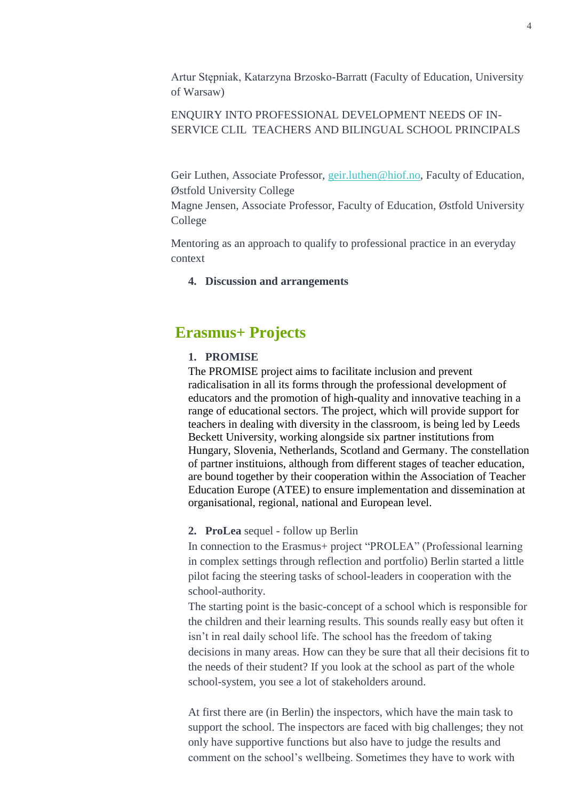Artur Stępniak, Katarzyna Brzosko-Barratt (Faculty of Education, University of Warsaw)

## ENQUIRY INTO PROFESSIONAL DEVELOPMENT NEEDS OF IN-SERVICE CLIL TEACHERS AND BILINGUAL SCHOOL PRINCIPALS

Geir Luthen, Associate Professor, [geir.luthen@hiof.no,](mailto:geir.luthen@hiof.no) Faculty of Education, Østfold University College

Magne Jensen, Associate Professor, Faculty of Education, Østfold University College

Mentoring as an approach to qualify to professional practice in an everyday context

**4. Discussion and arrangements**

# **Erasmus+ Projects**

#### **1. PROMISE**

The PROMISE project aims to facilitate inclusion and prevent radicalisation in all its forms through the professional development of educators and the promotion of high-quality and innovative teaching in a range of educational sectors. The project, which will provide support for teachers in dealing with diversity in the classroom, is being led by Leeds Beckett University, working alongside six partner institutions from Hungary, Slovenia, Netherlands, Scotland and Germany. The constellation of partner instituions, although from different stages of teacher education, are bound together by their cooperation within the Association of Teacher Education Europe (ATEE) to ensure implementation and dissemination at organisational, regional, national and European level.

### **2. ProLea** sequel - follow up Berlin

In connection to the Erasmus+ project "PROLEA" (Professional learning in complex settings through reflection and portfolio) Berlin started a little pilot facing the steering tasks of school-leaders in cooperation with the school-authority.

The starting point is the basic-concept of a school which is responsible for the children and their learning results. This sounds really easy but often it isn't in real daily school life. The school has the freedom of taking decisions in many areas. How can they be sure that all their decisions fit to the needs of their student? If you look at the school as part of the whole school-system, you see a lot of stakeholders around.

At first there are (in Berlin) the inspectors, which have the main task to support the school. The inspectors are faced with big challenges; they not only have supportive functions but also have to judge the results and comment on the school's wellbeing. Sometimes they have to work with